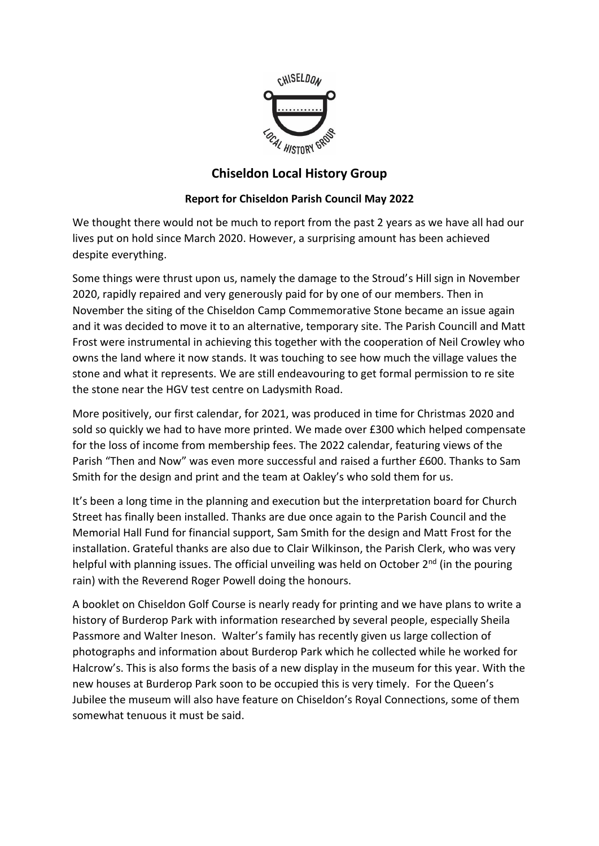

## **Chiseldon Local History Group**

## **Report for Chiseldon Parish Council May 2022**

We thought there would not be much to report from the past 2 years as we have all had our lives put on hold since March 2020. However, a surprising amount has been achieved despite everything.

Some things were thrust upon us, namely the damage to the Stroud's Hill sign in November 2020, rapidly repaired and very generously paid for by one of our members. Then in November the siting of the Chiseldon Camp Commemorative Stone became an issue again and it was decided to move it to an alternative, temporary site. The Parish Councill and Matt Frost were instrumental in achieving this together with the cooperation of Neil Crowley who owns the land where it now stands. It was touching to see how much the village values the stone and what it represents. We are still endeavouring to get formal permission to re site the stone near the HGV test centre on Ladysmith Road.

More positively, our first calendar, for 2021, was produced in time for Christmas 2020 and sold so quickly we had to have more printed. We made over £300 which helped compensate for the loss of income from membership fees. The 2022 calendar, featuring views of the Parish "Then and Now" was even more successful and raised a further £600. Thanks to Sam Smith for the design and print and the team at Oakley's who sold them for us.

It's been a long time in the planning and execution but the interpretation board for Church Street has finally been installed. Thanks are due once again to the Parish Council and the Memorial Hall Fund for financial support, Sam Smith for the design and Matt Frost for the installation. Grateful thanks are also due to Clair Wilkinson, the Parish Clerk, who was very helpful with planning issues. The official unveiling was held on October 2<sup>nd</sup> (in the pouring rain) with the Reverend Roger Powell doing the honours.

A booklet on Chiseldon Golf Course is nearly ready for printing and we have plans to write a history of Burderop Park with information researched by several people, especially Sheila Passmore and Walter Ineson. Walter's family has recently given us large collection of photographs and information about Burderop Park which he collected while he worked for Halcrow's. This is also forms the basis of a new display in the museum for this year. With the new houses at Burderop Park soon to be occupied this is very timely. For the Queen's Jubilee the museum will also have feature on Chiseldon's Royal Connections, some of them somewhat tenuous it must be said.